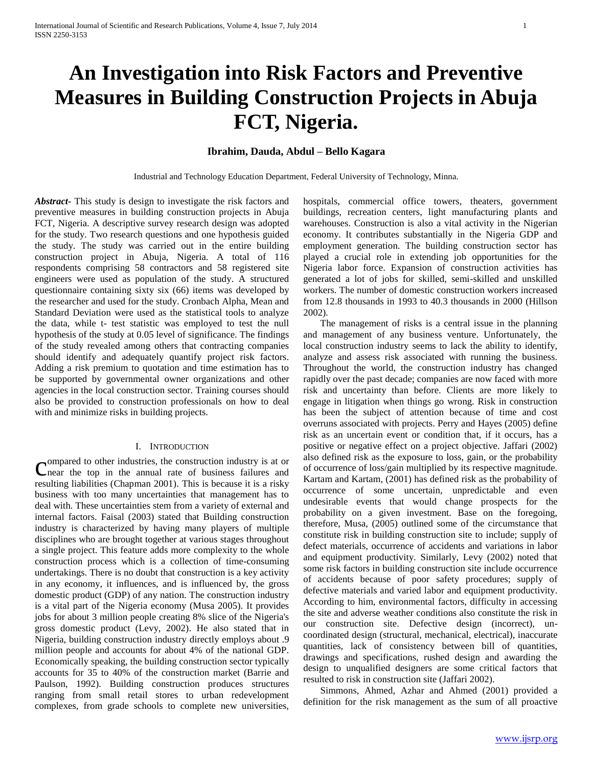# **An Investigation into Risk Factors and Preventive Measures in Building Construction Projects in Abuja FCT, Nigeria.**

# **Ibrahim, Dauda, Abdul – Bello Kagara**

Industrial and Technology Education Department, Federal University of Technology, Minna.

*Abstract***-** This study is design to investigate the risk factors and preventive measures in building construction projects in Abuja FCT, Nigeria. A descriptive survey research design was adopted for the study. Two research questions and one hypothesis guided the study. The study was carried out in the entire building construction project in Abuja, Nigeria. A total of 116 respondents comprising 58 contractors and 58 registered site engineers were used as population of the study. A structured questionnaire containing sixty six (66) items was developed by the researcher and used for the study. Cronbach Alpha, Mean and Standard Deviation were used as the statistical tools to analyze the data, while t- test statistic was employed to test the null hypothesis of the study at 0.05 level of significance. The findings of the study revealed among others that contracting companies should identify and adequately quantify project risk factors. Adding a risk premium to quotation and time estimation has to be supported by governmental owner organizations and other agencies in the local construction sector. Training courses should also be provided to construction professionals on how to deal with and minimize risks in building projects.

#### I. INTRODUCTION

ompared to other industries, the construction industry is at or Compared to other industries, the construction industry is at or  $\Gamma$  heart the top in the annual rate of business failures and resulting liabilities (Chapman 2001)*.* This is because it is a risky business with too many uncertainties that management has to deal with. These uncertainties stem from a variety of external and internal factors. Faisal (2003) stated that Building construction industry is characterized by having many players of multiple disciplines who are brought together at various stages throughout a single project. This feature adds more complexity to the whole construction process which is a collection of time-consuming undertakings. There is no doubt that construction is a key activity in any economy, it influences, and is influenced by, the gross domestic product (GDP) of any nation. The construction industry is a vital part of the Nigeria economy (Musa 2005). It provides jobs for about 3 million people creating 8% slice of the Nigeria's gross domestic product (Levy, 2002). He also stated that in Nigeria, building construction industry directly employs about .9 million people and accounts for about 4% of the national GDP. Economically speaking, the building construction sector typically accounts for 35 to 40% of the construction market (Barrie and Paulson, 1992). Building construction produces structures ranging from small retail stores to urban redevelopment complexes, from grade schools to complete new universities,

hospitals, commercial office towers, theaters, government buildings, recreation centers, light manufacturing plants and warehouses. Construction is also a vital activity in the Nigerian economy. It contributes substantially in the Nigeria GDP and employment generation. The building construction sector has played a crucial role in extending job opportunities for the Nigeria labor force. Expansion of construction activities has generated a lot of jobs for skilled, semi-skilled and unskilled workers. The number of domestic construction workers increased from 12.8 thousands in 1993 to 40.3 thousands in 2000 (Hillson 2002)*.*

 The management of risks is a central issue in the planning and management of any business venture. Unfortunately, the local construction industry seems to lack the ability to identify, analyze and assess risk associated with running the business. Throughout the world, the construction industry has changed rapidly over the past decade; companies are now faced with more risk and uncertainty than before. Clients are more likely to engage in litigation when things go wrong. Risk in construction has been the subject of attention because of time and cost overruns associated with projects. Perry and Hayes (2005) define risk as an uncertain event or condition that, if it occurs, has a positive or negative effect on a project objective. Jaffari (2002) also defined risk as the exposure to loss, gain, or the probability of occurrence of loss/gain multiplied by its respective magnitude. Kartam and Kartam, (2001) has defined risk as the probability of occurrence of some uncertain, unpredictable and even undesirable events that would change prospects for the probability on a given investment. Base on the foregoing, therefore, Musa, (2005) outlined some of the circumstance that constitute risk in building construction site to include; supply of defect materials, occurrence of accidents and variations in labor and equipment productivity. Similarly, Levy (2002) noted that some risk factors in building construction site include occurrence of accidents because of poor safety procedures; supply of defective materials and varied labor and equipment productivity. According to him, environmental factors, difficulty in accessing the site and adverse weather conditions also constitute the risk in our construction site. Defective design (incorrect), uncoordinated design (structural, mechanical, electrical), inaccurate quantities, lack of consistency between bill of quantities, drawings and specifications, rushed design and awarding the design to unqualified designers are some critical factors that resulted to risk in construction site (Jaffari 2002).

 Simmons, Ahmed, Azhar and Ahmed (2001) provided a definition for the risk management as the sum of all proactive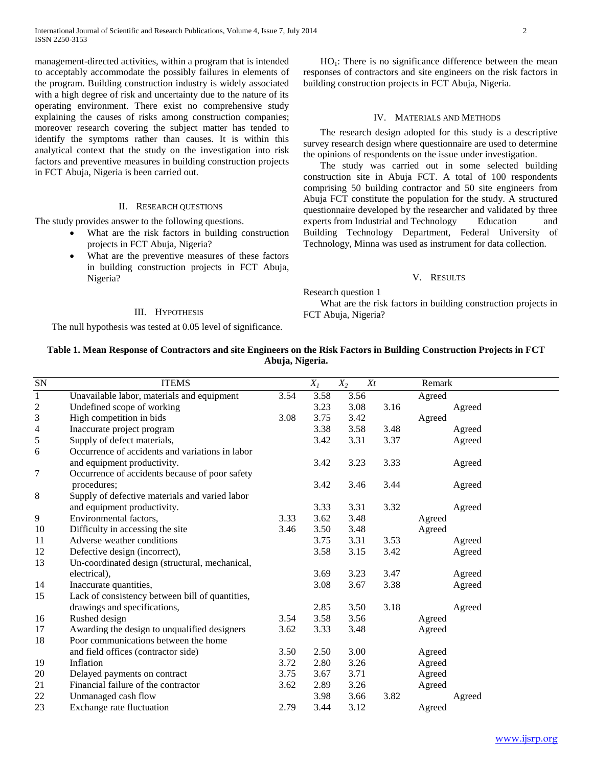management-directed activities, within a program that is intended to acceptably accommodate the possibly failures in elements of the program. Building construction industry is widely associated with a high degree of risk and uncertainty due to the nature of its operating environment. There exist no comprehensive study explaining the causes of risks among construction companies; moreover research covering the subject matter has tended to identify the symptoms rather than causes. It is within this analytical context that the study on the investigation into risk factors and preventive measures in building construction projects in FCT Abuja, Nigeria is been carried out.

#### II. RESEARCH QUESTIONS

The study provides answer to the following questions.

- What are the risk factors in building construction projects in FCT Abuja, Nigeria?
- What are the preventive measures of these factors in building construction projects in FCT Abuja, Nigeria?

### III. HYPOTHESIS

The null hypothesis was tested at 0.05 level of significance.

 $HO<sub>1</sub>$ : There is no significance difference between the mean responses of contractors and site engineers on the risk factors in building construction projects in FCT Abuja, Nigeria.

#### IV. MATERIALS AND METHODS

 The research design adopted for this study is a descriptive survey research design where questionnaire are used to determine the opinions of respondents on the issue under investigation.

 The study was carried out in some selected building construction site in Abuja FCT. A total of 100 respondents comprising 50 building contractor and 50 site engineers from Abuja FCT constitute the population for the study. A structured questionnaire developed by the researcher and validated by three experts from Industrial and Technology Education and Building Technology Department, Federal University of Technology, Minna was used as instrument for data collection.

#### V. RESULTS

Research question 1

 What are the risk factors in building construction projects in FCT Abuja, Nigeria?

# **Table 1. Mean Response of Contractors and site Engineers on the Risk Factors in Building Construction Projects in FCT Abuja, Nigeria.**

| ${\rm SN}$               | <b>ITEMS</b>                                    |      | $X_I$ | $X_2$<br>$X_t$ |      | Remark |
|--------------------------|-------------------------------------------------|------|-------|----------------|------|--------|
| $\,1\,$                  | Unavailable labor, materials and equipment      | 3.54 | 3.58  | 3.56           |      | Agreed |
| $\overline{c}$           | Undefined scope of working                      |      | 3.23  | 3.08           | 3.16 | Agreed |
| 3                        | High competition in bids                        | 3.08 | 3.75  | 3.42           |      | Agreed |
| $\overline{\mathcal{A}}$ | Inaccurate project program                      |      | 3.38  | 3.58           | 3.48 | Agreed |
| 5                        | Supply of defect materials,                     |      | 3.42  | 3.31           | 3.37 | Agreed |
| 6                        | Occurrence of accidents and variations in labor |      |       |                |      |        |
|                          | and equipment productivity.                     |      | 3.42  | 3.23           | 3.33 | Agreed |
| 7                        | Occurrence of accidents because of poor safety  |      |       |                |      |        |
|                          | procedures;                                     |      | 3.42  | 3.46           | 3.44 | Agreed |
| 8                        | Supply of defective materials and varied labor  |      |       |                |      |        |
|                          | and equipment productivity.                     |      | 3.33  | 3.31           | 3.32 | Agreed |
| 9                        | Environmental factors,                          | 3.33 | 3.62  | 3.48           |      | Agreed |
| 10                       | Difficulty in accessing the site                | 3.46 | 3.50  | 3.48           |      | Agreed |
| 11                       | Adverse weather conditions                      |      | 3.75  | 3.31           | 3.53 | Agreed |
| 12                       | Defective design (incorrect),                   |      | 3.58  | 3.15           | 3.42 | Agreed |
| 13                       | Un-coordinated design (structural, mechanical,  |      |       |                |      |        |
|                          | electrical),                                    |      | 3.69  | 3.23           | 3.47 | Agreed |
| 14                       | Inaccurate quantities,                          |      | 3.08  | 3.67           | 3.38 | Agreed |
| 15                       | Lack of consistency between bill of quantities, |      |       |                |      |        |
|                          | drawings and specifications,                    |      | 2.85  | 3.50           | 3.18 | Agreed |
| 16                       | Rushed design                                   | 3.54 | 3.58  | 3.56           |      | Agreed |
| 17                       | Awarding the design to unqualified designers    | 3.62 | 3.33  | 3.48           |      | Agreed |
| 18                       | Poor communications between the home            |      |       |                |      |        |
|                          | and field offices (contractor side)             | 3.50 | 2.50  | 3.00           |      | Agreed |
| 19                       | Inflation                                       | 3.72 | 2.80  | 3.26           |      | Agreed |
| 20                       | Delayed payments on contract                    | 3.75 | 3.67  | 3.71           |      | Agreed |
| 21                       | Financial failure of the contractor             | 3.62 | 2.89  | 3.26           |      | Agreed |
| 22                       | Unmanaged cash flow                             |      | 3.98  | 3.66           | 3.82 | Agreed |
| 23                       | Exchange rate fluctuation                       | 2.79 | 3.44  | 3.12           |      | Agreed |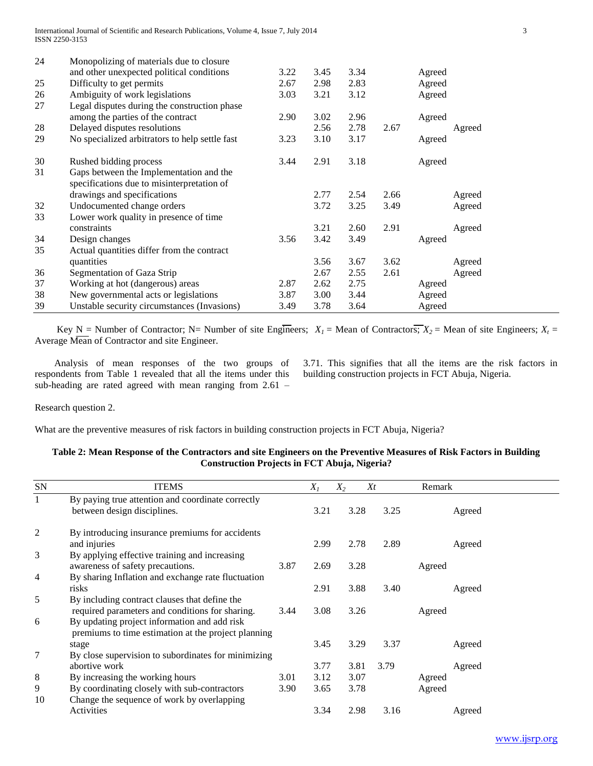| 24 | Monopolizing of materials due to closure       |      |      |      |      |        |        |
|----|------------------------------------------------|------|------|------|------|--------|--------|
|    | and other unexpected political conditions      | 3.22 | 3.45 | 3.34 |      | Agreed |        |
| 25 | Difficulty to get permits                      | 2.67 | 2.98 | 2.83 |      | Agreed |        |
| 26 | Ambiguity of work legislations                 | 3.03 | 3.21 | 3.12 |      | Agreed |        |
| 27 | Legal disputes during the construction phase   |      |      |      |      |        |        |
|    | among the parties of the contract              | 2.90 | 3.02 | 2.96 |      | Agreed |        |
| 28 | Delayed disputes resolutions                   |      | 2.56 | 2.78 | 2.67 |        | Agreed |
| 29 | No specialized arbitrators to help settle fast | 3.23 | 3.10 | 3.17 |      | Agreed |        |
| 30 | Rushed bidding process                         | 3.44 | 2.91 | 3.18 |      | Agreed |        |
| 31 | Gaps between the Implementation and the        |      |      |      |      |        |        |
|    | specifications due to misinterpretation of     |      |      |      |      |        |        |
|    | drawings and specifications                    |      | 2.77 | 2.54 | 2.66 |        | Agreed |
| 32 | Undocumented change orders                     |      | 3.72 | 3.25 | 3.49 |        | Agreed |
| 33 | Lower work quality in presence of time         |      |      |      |      |        |        |
|    | constraints                                    |      | 3.21 | 2.60 | 2.91 |        | Agreed |
| 34 | Design changes                                 | 3.56 | 3.42 | 3.49 |      | Agreed |        |
| 35 | Actual quantities differ from the contract     |      |      |      |      |        |        |
|    | quantities                                     |      | 3.56 | 3.67 | 3.62 |        | Agreed |
| 36 | Segmentation of Gaza Strip                     |      | 2.67 | 2.55 | 2.61 |        | Agreed |
| 37 | Working at hot (dangerous) areas               | 2.87 | 2.62 | 2.75 |      | Agreed |        |
| 38 | New governmental acts or legislations          | 3.87 | 3.00 | 3.44 |      | Agreed |        |
| 39 | Unstable security circumstances (Invasions)    | 3.49 | 3.78 | 3.64 |      | Agreed |        |

Key N = Number of Contractor; N= Number of site Engineers;  $X_1$  = Mean of Contractors;  $X_2$  = Mean of site Engineers;  $X_1$  = Average Mean of Contractor and site Engineer.

 Analysis of mean responses of the two groups of respondents from Table 1 revealed that all the items under this sub-heading are rated agreed with mean ranging from 2.61 –

3.71. This signifies that all the items are the risk factors in building construction projects in FCT Abuja, Nigeria.

Research question 2.

What are the preventive measures of risk factors in building construction projects in FCT Abuja, Nigeria?

## **Table 2: Mean Response of the Contractors and site Engineers on the Preventive Measures of Risk Factors in Building Construction Projects in FCT Abuja, Nigeria?**

| <b>SN</b>    | <b>ITEMS</b>                                                                                        |      | $X_I$ | $X_2$<br>Xt |      | Remark |
|--------------|-----------------------------------------------------------------------------------------------------|------|-------|-------------|------|--------|
| $\mathbf{1}$ | By paying true attention and coordinate correctly<br>between design disciplines.                    |      | 3.21  | 3.28        | 3.25 | Agreed |
| 2            | By introducing insurance premiums for accidents<br>and injuries                                     |      | 2.99  | 2.78        | 2.89 | Agreed |
| 3            | By applying effective training and increasing<br>awareness of safety precautions.                   | 3.87 | 2.69  | 3.28        |      | Agreed |
| 4            | By sharing Inflation and exchange rate fluctuation<br>risks                                         |      | 2.91  | 3.88        | 3.40 | Agreed |
| 5            | By including contract clauses that define the<br>required parameters and conditions for sharing.    | 3.44 | 3.08  | 3.26        |      | Agreed |
| 6            | By updating project information and add risk<br>premiums to time estimation at the project planning |      |       |             |      |        |
| 7            | stage<br>By close supervision to subordinates for minimizing                                        |      | 3.45  | 3.29        | 3.37 | Agreed |
|              | abortive work                                                                                       |      | 3.77  | 3.81        | 3.79 | Agreed |
| 8            | By increasing the working hours                                                                     | 3.01 | 3.12  | 3.07        |      | Agreed |
| 9<br>10      | By coordinating closely with sub-contractors<br>Change the sequence of work by overlapping          | 3.90 | 3.65  | 3.78        |      | Agreed |
|              | Activities                                                                                          |      | 3.34  | 2.98        | 3.16 | Agreed |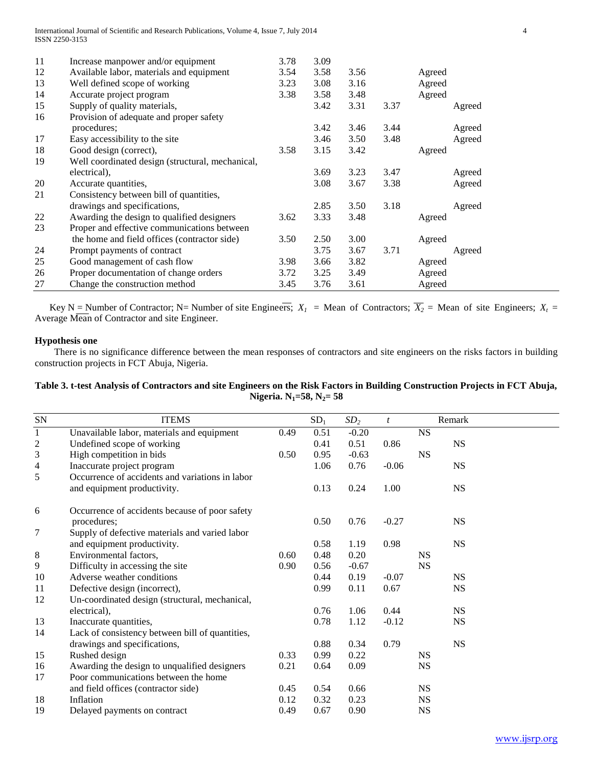| 11 | Increase manpower and/or equipment               | 3.78 | 3.09 |      |      |        |        |
|----|--------------------------------------------------|------|------|------|------|--------|--------|
| 12 | Available labor, materials and equipment         | 3.54 | 3.58 | 3.56 |      | Agreed |        |
| 13 | Well defined scope of working                    | 3.23 | 3.08 | 3.16 |      | Agreed |        |
| 14 | Accurate project program                         | 3.38 | 3.58 | 3.48 |      | Agreed |        |
| 15 | Supply of quality materials,                     |      | 3.42 | 3.31 | 3.37 |        | Agreed |
| 16 | Provision of adequate and proper safety          |      |      |      |      |        |        |
|    | procedures;                                      |      | 3.42 | 3.46 | 3.44 |        | Agreed |
| 17 | Easy accessibility to the site                   |      | 3.46 | 3.50 | 3.48 |        | Agreed |
| 18 | Good design (correct),                           | 3.58 | 3.15 | 3.42 |      | Agreed |        |
| 19 | Well coordinated design (structural, mechanical, |      |      |      |      |        |        |
|    | electrical),                                     |      | 3.69 | 3.23 | 3.47 |        | Agreed |
| 20 | Accurate quantities,                             |      | 3.08 | 3.67 | 3.38 |        | Agreed |
| 21 | Consistency between bill of quantities,          |      |      |      |      |        |        |
|    | drawings and specifications,                     |      | 2.85 | 3.50 | 3.18 |        | Agreed |
| 22 | Awarding the design to qualified designers       | 3.62 | 3.33 | 3.48 |      | Agreed |        |
| 23 | Proper and effective communications between      |      |      |      |      |        |        |
|    | the home and field offices (contractor side)     | 3.50 | 2.50 | 3.00 |      | Agreed |        |
| 24 | Prompt payments of contract                      |      | 3.75 | 3.67 | 3.71 |        | Agreed |
| 25 | Good management of cash flow                     | 3.98 | 3.66 | 3.82 |      | Agreed |        |
| 26 | Proper documentation of change orders            | 3.72 | 3.25 | 3.49 |      | Agreed |        |
| 27 | Change the construction method                   | 3.45 | 3.76 | 3.61 |      | Agreed |        |

Key N = Number of Contractor; N= Number of site Engineers;  $X_1$  = Mean of Contractors;  $\overline{X_2}$  = Mean of site Engineers;  $X_1$  = Average Mean of Contractor and site Engineer.

## **Hypothesis one**

 There is no significance difference between the mean responses of contractors and site engineers on the risks factors in building construction projects in FCT Abuja, Nigeria.

## **Table 3. t-test Analysis of Contractors and site Engineers on the Risk Factors in Building Construction Projects in FCT Abuja, Nigeria. N1=58, N2= 58**

| <b>ITEMS</b>                                    |      | SD <sub>1</sub> | SD <sub>2</sub> | $\boldsymbol{t}$ |           | Remark    |
|-------------------------------------------------|------|-----------------|-----------------|------------------|-----------|-----------|
| Unavailable labor, materials and equipment      | 0.49 | 0.51            | $-0.20$         |                  | <b>NS</b> |           |
| Undefined scope of working                      |      | 0.41            | 0.51            | 0.86             |           | <b>NS</b> |
| High competition in bids                        | 0.50 | 0.95            | $-0.63$         |                  | <b>NS</b> |           |
| Inaccurate project program                      |      | 1.06            | 0.76            | $-0.06$          |           | <b>NS</b> |
| Occurrence of accidents and variations in labor |      |                 |                 |                  |           |           |
| and equipment productivity.                     |      | 0.13            | 0.24            | 1.00             |           | <b>NS</b> |
| Occurrence of accidents because of poor safety  |      |                 |                 |                  |           |           |
| procedures;                                     |      | 0.50            | 0.76            | $-0.27$          |           | <b>NS</b> |
| Supply of defective materials and varied labor  |      |                 |                 |                  |           |           |
| and equipment productivity.                     |      | 0.58            | 1.19            | 0.98             |           | <b>NS</b> |
| Environmental factors,                          | 0.60 | 0.48            | 0.20            |                  | <b>NS</b> |           |
| Difficulty in accessing the site                | 0.90 | 0.56            | $-0.67$         |                  | <b>NS</b> |           |
| Adverse weather conditions                      |      | 0.44            | 0.19            | $-0.07$          |           | <b>NS</b> |
| Defective design (incorrect),                   |      | 0.99            | 0.11            | 0.67             |           | <b>NS</b> |
| Un-coordinated design (structural, mechanical,  |      |                 |                 |                  |           |           |
| electrical),                                    |      | 0.76            | 1.06            | 0.44             |           | <b>NS</b> |
| Inaccurate quantities,                          |      | 0.78            | 1.12            | $-0.12$          |           | <b>NS</b> |
| Lack of consistency between bill of quantities, |      |                 |                 |                  |           |           |
| drawings and specifications,                    |      | 0.88            | 0.34            | 0.79             |           | <b>NS</b> |
| Rushed design                                   | 0.33 | 0.99            | 0.22            |                  | <b>NS</b> |           |
| Awarding the design to unqualified designers    | 0.21 | 0.64            | 0.09            |                  | <b>NS</b> |           |
| Poor communications between the home            |      |                 |                 |                  |           |           |
| and field offices (contractor side)             | 0.45 | 0.54            | 0.66            |                  | <b>NS</b> |           |
| Inflation                                       | 0.12 | 0.32            | 0.23            |                  | <b>NS</b> |           |
| Delayed payments on contract                    | 0.49 | 0.67            | 0.90            |                  | <b>NS</b> |           |
|                                                 |      |                 |                 |                  |           |           |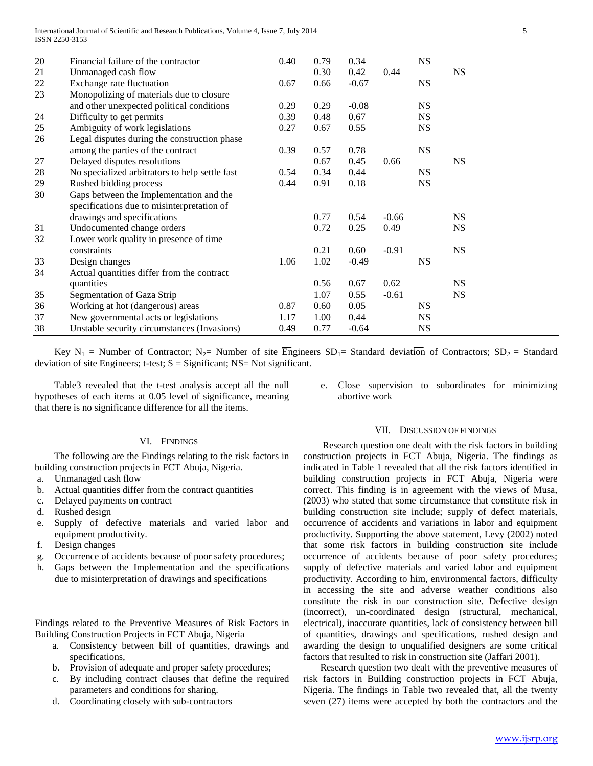| 20 | Financial failure of the contractor            | 0.40 | 0.79 | 0.34    |         | <b>NS</b> |           |
|----|------------------------------------------------|------|------|---------|---------|-----------|-----------|
| 21 | Unmanaged cash flow                            |      | 0.30 | 0.42    | 0.44    |           | <b>NS</b> |
| 22 | Exchange rate fluctuation                      | 0.67 | 0.66 | $-0.67$ |         | <b>NS</b> |           |
| 23 | Monopolizing of materials due to closure       |      |      |         |         |           |           |
|    | and other unexpected political conditions      | 0.29 | 0.29 | $-0.08$ |         | <b>NS</b> |           |
| 24 | Difficulty to get permits                      | 0.39 | 0.48 | 0.67    |         | <b>NS</b> |           |
| 25 | Ambiguity of work legislations                 | 0.27 | 0.67 | 0.55    |         | <b>NS</b> |           |
| 26 | Legal disputes during the construction phase   |      |      |         |         |           |           |
|    | among the parties of the contract              | 0.39 | 0.57 | 0.78    |         | <b>NS</b> |           |
| 27 | Delayed disputes resolutions                   |      | 0.67 | 0.45    | 0.66    |           | <b>NS</b> |
| 28 | No specialized arbitrators to help settle fast | 0.54 | 0.34 | 0.44    |         | <b>NS</b> |           |
| 29 | Rushed bidding process                         | 0.44 | 0.91 | 0.18    |         | <b>NS</b> |           |
| 30 | Gaps between the Implementation and the        |      |      |         |         |           |           |
|    | specifications due to misinterpretation of     |      |      |         |         |           |           |
|    | drawings and specifications                    |      | 0.77 | 0.54    | $-0.66$ |           | <b>NS</b> |
| 31 | Undocumented change orders                     |      | 0.72 | 0.25    | 0.49    |           | <b>NS</b> |
| 32 | Lower work quality in presence of time         |      |      |         |         |           |           |
|    | constraints                                    |      | 0.21 | 0.60    | $-0.91$ |           | <b>NS</b> |
| 33 | Design changes                                 | 1.06 | 1.02 | $-0.49$ |         | <b>NS</b> |           |
| 34 | Actual quantities differ from the contract     |      |      |         |         |           |           |
|    | quantities                                     |      | 0.56 | 0.67    | 0.62    |           | <b>NS</b> |
| 35 | Segmentation of Gaza Strip                     |      | 1.07 | 0.55    | $-0.61$ |           | <b>NS</b> |
| 36 | Working at hot (dangerous) areas               | 0.87 | 0.60 | 0.05    |         | <b>NS</b> |           |
| 37 | New governmental acts or legislations          | 1.17 | 1.00 | 0.44    |         | <b>NS</b> |           |
| 38 | Unstable security circumstances (Invasions)    | 0.49 | 0.77 | $-0.64$ |         | <b>NS</b> |           |

Key N<sub>1</sub> = Number of Contractor; N<sub>2</sub>= Number of site  $\overline{En}$ gineers SD<sub>1</sub>= Standard deviation of Contractors; SD<sub>2</sub> = Standard deviation of site Engineers; t-test;  $S =$  Significant; NS= Not significant.

 Table3 revealed that the t-test analysis accept all the null hypotheses of each items at 0.05 level of significance, meaning that there is no significance difference for all the items.

## VI. FINDINGS

 The following are the Findings relating to the risk factors in building construction projects in FCT Abuja, Nigeria.

- a. Unmanaged cash flow
- b. Actual quantities differ from the contract quantities
- c. Delayed payments on contract
- d. Rushed design
- e. Supply of defective materials and varied labor and equipment productivity.
- f. Design changes
- g. Occurrence of accidents because of poor safety procedures;
- h. Gaps between the Implementation and the specifications due to misinterpretation of drawings and specifications

Findings related to the Preventive Measures of Risk Factors in Building Construction Projects in FCT Abuja, Nigeria

- a. Consistency between bill of quantities, drawings and specifications,
- b. Provision of adequate and proper safety procedures;
- c. By including contract clauses that define the required parameters and conditions for sharing.
- d. Coordinating closely with sub-contractors

e. Close supervision to subordinates for minimizing abortive work

## VII. DISCUSSION OF FINDINGS

 Research question one dealt with the risk factors in building construction projects in FCT Abuja, Nigeria. The findings as indicated in Table 1 revealed that all the risk factors identified in building construction projects in FCT Abuja, Nigeria were correct. This finding is in agreement with the views of Musa, (2003) who stated that some circumstance that constitute risk in building construction site include; supply of defect materials, occurrence of accidents and variations in labor and equipment productivity. Supporting the above statement, Levy (2002) noted that some risk factors in building construction site include occurrence of accidents because of poor safety procedures; supply of defective materials and varied labor and equipment productivity. According to him, environmental factors, difficulty in accessing the site and adverse weather conditions also constitute the risk in our construction site. Defective design (incorrect), un-coordinated design (structural, mechanical, electrical), inaccurate quantities, lack of consistency between bill of quantities, drawings and specifications, rushed design and awarding the design to unqualified designers are some critical factors that resulted to risk in construction site (Jaffari 2001).

 Research question two dealt with the preventive measures of risk factors in Building construction projects in FCT Abuja, Nigeria. The findings in Table two revealed that, all the twenty seven (27) items were accepted by both the contractors and the